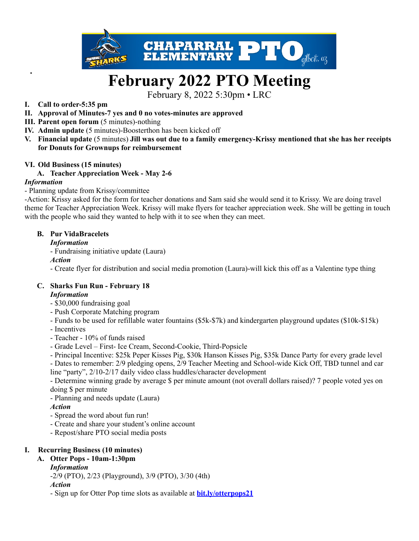

# **February 2022 PTO Meeting**

February 8, 2022 5:30pm • LRC

#### **I. Call to order-5:35 pm**

- **II. Approval of Minutes-7 yes and 0 no votes-minutes are approved**
- **III. Parent open forum** (5 minutes)-nothing
- **IV. Admin update** (5 minutes)-Boosterthon has been kicked off
- V. Financial update (5 minutes) Jill was out due to a family emergency-Krissy mentioned that she has her receipts **for Donuts for Grownups for reimbursement**

#### **VI. Old Business (15 minutes)**

#### **A. Teacher Appreciation Week - May 2-6**

#### *Information*

#### - Planning update from Krissy/committee

-Action: Krissy asked for the form for teacher donations and Sam said she would send it to Krissy. We are doing travel theme for Teacher Appreciation Week. Krissy will make flyers for teacher appreciation week. She will be getting in touch with the people who said they wanted to help with it to see when they can meet.

#### **B. Pur VidaBracelets**

#### *Information*

- Fundraising initiative update (Laura)

#### *Action*

- Create flyer for distribution and social media promotion (Laura)-will kick this off as a Valentine type thing

#### **C. Sharks Fun Run - February 18**

#### *Information*

- \$30,000 fundraising goal
- Push Corporate Matching program
- Funds to be used for refillable water fountains (\$5k-\$7k) and kindergarten playground updates (\$10k-\$15k)
- Incentives
- Teacher 10% of funds raised
- Grade Level First- Ice Cream, Second-Cookie, Third-Popsicle
- Principal Incentive: \$25k Peper Kisses Pig, \$30k Hanson Kisses Pig, \$35k Dance Party for every grade level

- Dates to remember: 2/9 pledging opens, 2/9 Teacher Meeting and School-wide Kick Off, TBD tunnel and car line "party", 2/10-2/17 daily video class huddles/character development

- Determine winning grade by average \$ per minute amount (not overall dollars raised)? 7 people voted yes on doing \$ per minute

- Planning and needs update (Laura)

#### *Action*

- Spread the word about fun run!
- Create and share your student's online account
- Repost/share PTO social media posts

#### **I. Recurring Business (10 minutes)**

## **A. Otter Pops - 10am-1:30pm**

#### *Information*

-2/9 (PTO), 2/23 (Playground), 3/9 (PTO), 3/30 (4th)

*Action*

- Sign up for Otter Pop time slots as available at **[bit.ly/otterpops21](http://bit.ly/otterpops21)**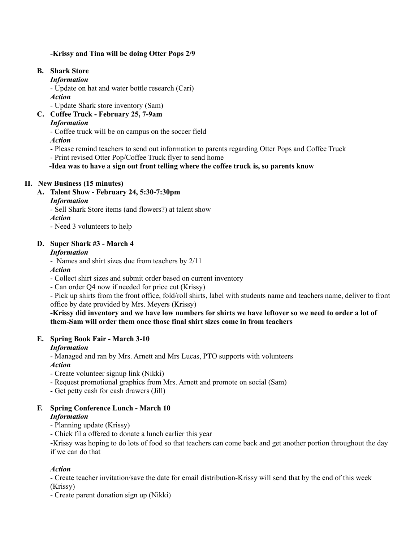#### **-Krissy and Tina will be doing Otter Pops 2/9**

#### **B. Shark Store**

#### *Information*

- Update on hat and water bottle research (Cari)

*Action*

- Update Shark store inventory (Sam)

**C. Coffee Truck - February 25, 7-9am**

#### *Information*

- Coffee truck will be on campus on the soccer field

*Action*

- Please remind teachers to send out information to parents regarding Otter Pops and Coffee Truck
- Print revised Otter Pop/Coffee Truck flyer to send home

**-Idea was to have a sign out front telling where the coffee truck is, so parents know**

## **II. New Business (15 minutes)**

**A. Talent Show - February 24, 5:30-7:30pm**

## *Information*

*-* Sell Shark Store items (and flowers?) at talent show

*Action*

- Need 3 volunteers to help

## **D. Super Shark #3 - March 4**

## *Information*

- Names and shirt sizes due from teachers by 2/11

*Action*

- Collect shirt sizes and submit order based on current inventory

- Can order Q4 now if needed for price cut (Krissy)

- Pick up shirts from the front office, fold/roll shirts, label with students name and teachers name, deliver to front office by date provided by Mrs. Meyers (Krissy)

#### -Krissy did inventory and we have low numbers for shirts we have leftover so we need to order a lot of **them-Sam will order them once those final shirt sizes come in from teachers**

## **E. Spring Book Fair - March 3-10**

## *Information*

- Managed and ran by Mrs. Arnett and Mrs Lucas, PTO supports with volunteers *Action*

- Create volunteer signup link (Nikki)
- Request promotional graphics from Mrs. Arnett and promote on social (Sam)
- Get petty cash for cash drawers (Jill)

#### **F. Spring Conference Lunch - March 10** *Information*

- Planning update (Krissy)
- Chick fil a offered to donate a lunch earlier this year

-Krissy was hoping to do lots of food so that teachers can come back and get another portion throughout the day if we can do that

## *Action*

- Create teacher invitation/save the date for email distribution-Krissy will send that by the end of this week (Krissy)

- Create parent donation sign up (Nikki)